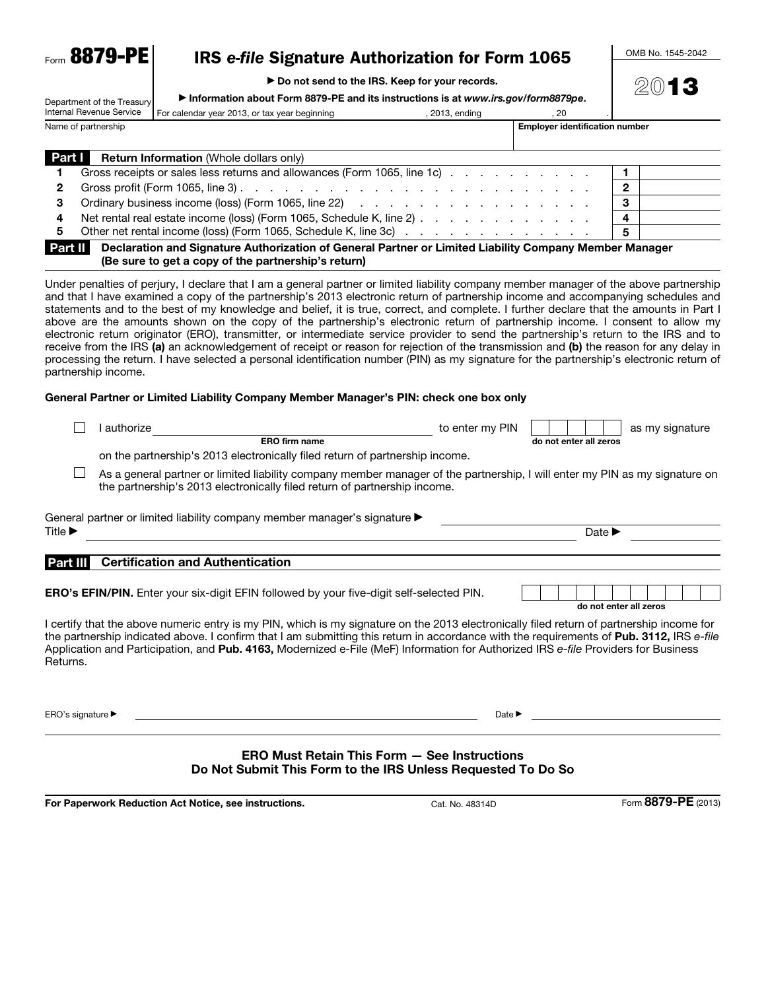**Eorm 8879-PE** 

# IRS *e-file* Signature Authorization for Form 1065

▶ Do not send to the IRS. Keep for your records.

Department of the Treasury ▶ Information about Form 8879-PE and its instructions is at *www.irs.gov/form8879pe*. OMB No. 1545-2042

2013

|                     | Internal Revenue Service | For calendar year 2013, or tax year beginning                                                                              | 2013, ending | . 20 |                                       |  |  |
|---------------------|--------------------------|----------------------------------------------------------------------------------------------------------------------------|--------------|------|---------------------------------------|--|--|
| Name of partnership |                          |                                                                                                                            |              |      | <b>Employer identification number</b> |  |  |
|                     |                          |                                                                                                                            |              |      |                                       |  |  |
| <b>Part I</b>       |                          | <b>Return Information</b> (Whole dollars only)                                                                             |              |      |                                       |  |  |
|                     |                          | Gross receipts or sales less returns and allowances (Form 1065, line 1c)                                                   |              |      |                                       |  |  |
| 2                   |                          | Gross profit (Form 1065, line 3) $\ldots$ $\ldots$ $\ldots$ $\ldots$ $\ldots$ $\ldots$ $\ldots$ $\ldots$ $\ldots$ $\ldots$ |              |      |                                       |  |  |
| З                   |                          |                                                                                                                            |              |      |                                       |  |  |
| 4                   |                          | Net rental real estate income (loss) (Form 1065, Schedule K, line 2)                                                       |              |      | 4                                     |  |  |
| 5.                  |                          | Other net rental income (loss) (Form 1065, Schedule K, line 3c)                                                            |              |      | 5                                     |  |  |
|                     |                          | <b>Part II</b> Declaration and Signature Authorization of General Partner or Limited Liability Company Member Manager      |              |      |                                       |  |  |

Part II Declaration and Signature Authorization of General Partner or Limited Liability Company Member Manager (Be sure to get a copy of the partnership's return)

Under penalties of perjury, I declare that I am a general partner or limited liability company member manager of the above partnership and that I have examined a copy of the partnership's 2013 electronic return of partnership income and accompanying schedules and statements and to the best of my knowledge and belief, it is true, correct, and complete. I further declare that the amounts in Part I above are the amounts shown on the copy of the partnership's electronic return of partnership income. I consent to allow my electronic return originator (ERO), transmitter, or intermediate service provider to send the partnership's return to the IRS and to receive from the IRS (a) an acknowledgement of receipt or reason for rejection of the transmission and (b) the reason for any delay in processing the return. I have selected a personal identification number (PIN) as my signature for the partnership's electronic return of partnership income.

#### General Partner or Limited Liability Company Member Manager's PIN: check one box only

|                             | authorize                                                                                                                                                                                                                                                                                                                                                                                                                   | to enter my PIN            |                            | as my signature |  |  |  |  |
|-----------------------------|-----------------------------------------------------------------------------------------------------------------------------------------------------------------------------------------------------------------------------------------------------------------------------------------------------------------------------------------------------------------------------------------------------------------------------|----------------------------|----------------------------|-----------------|--|--|--|--|
|                             | ERO firm name                                                                                                                                                                                                                                                                                                                                                                                                               |                            | do not enter all zeros     |                 |  |  |  |  |
|                             | on the partnership's 2013 electronically filed return of partnership income.                                                                                                                                                                                                                                                                                                                                                |                            |                            |                 |  |  |  |  |
|                             | As a general partner or limited liability company member manager of the partnership, I will enter my PIN as my signature on<br>the partnership's 2013 electronically filed return of partnership income.                                                                                                                                                                                                                    |                            |                            |                 |  |  |  |  |
|                             | General partner or limited liability company member manager's signature ▶                                                                                                                                                                                                                                                                                                                                                   |                            |                            |                 |  |  |  |  |
| Title $\blacktriangleright$ |                                                                                                                                                                                                                                                                                                                                                                                                                             |                            | Date $\blacktriangleright$ |                 |  |  |  |  |
|                             | <b>Certification and Authentication</b>                                                                                                                                                                                                                                                                                                                                                                                     |                            |                            |                 |  |  |  |  |
| Part III                    |                                                                                                                                                                                                                                                                                                                                                                                                                             |                            |                            |                 |  |  |  |  |
|                             | <b>ERO's EFIN/PIN.</b> Enter your six-digit EFIN followed by your five-digit self-selected PIN.                                                                                                                                                                                                                                                                                                                             |                            | do not enter all zeros     |                 |  |  |  |  |
| Returns.                    | I certify that the above numeric entry is my PIN, which is my signature on the 2013 electronically filed return of partnership income for<br>the partnership indicated above. I confirm that I am submitting this return in accordance with the requirements of Pub. 3112, IRS e-file<br>Application and Participation, and Pub. 4163, Modernized e-File (MeF) Information for Authorized IRS e-file Providers for Business |                            |                            |                 |  |  |  |  |
| ERO's signature ▶           |                                                                                                                                                                                                                                                                                                                                                                                                                             | Date $\blacktriangleright$ |                            |                 |  |  |  |  |
|                             | <b>ERO Must Retain This Form.</b>                                                                                                                                                                                                                                                                                                                                                                                           | See Instructions           |                            |                 |  |  |  |  |

#### ERO Must Retain This Form — See Instructions Do Not Submit This Form to the IRS Unless Requested To Do So

For Paperwork Reduction Act Notice, see instructions. Cat. No. 48314D Form 8879-PE (2013)